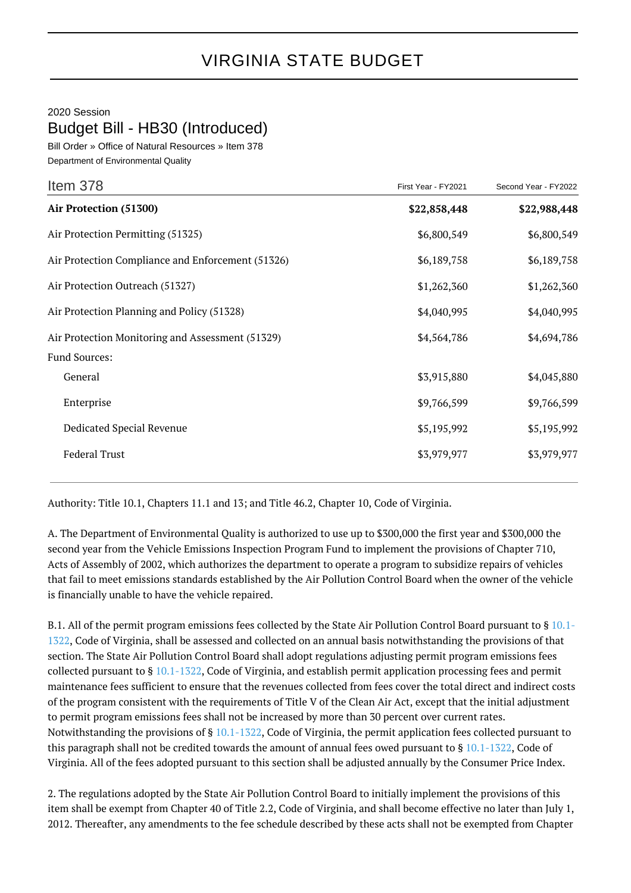## VIRGINIA STATE BUDGET

## 2020 Session

Budget Bill - HB30 (Introduced)

Bill Order » Office of Natural Resources » Item 378 Department of Environmental Quality

| Item 378                                          | First Year - FY2021 | Second Year - FY2022 |
|---------------------------------------------------|---------------------|----------------------|
| Air Protection (51300)                            | \$22,858,448        | \$22,988,448         |
| Air Protection Permitting (51325)                 | \$6,800,549         | \$6,800,549          |
| Air Protection Compliance and Enforcement (51326) | \$6,189,758         | \$6,189,758          |
| Air Protection Outreach (51327)                   | \$1,262,360         | \$1,262,360          |
| Air Protection Planning and Policy (51328)        | \$4,040,995         | \$4,040,995          |
| Air Protection Monitoring and Assessment (51329)  | \$4,564,786         | \$4,694,786          |
| <b>Fund Sources:</b>                              |                     |                      |
| General                                           | \$3,915,880         | \$4,045,880          |
| Enterprise                                        | \$9,766,599         | \$9,766,599          |
| Dedicated Special Revenue                         | \$5,195,992         | \$5,195,992          |
| <b>Federal Trust</b>                              | \$3,979,977         | \$3,979,977          |
|                                                   |                     |                      |

Authority: Title 10.1, Chapters 11.1 and 13; and Title 46.2, Chapter 10, Code of Virginia.

A. The Department of Environmental Quality is authorized to use up to \$300,000 the first year and \$300,000 the second year from the Vehicle Emissions Inspection Program Fund to implement the provisions of Chapter 710, Acts of Assembly of 2002, which authorizes the department to operate a program to subsidize repairs of vehicles that fail to meet emissions standards established by the Air Pollution Control Board when the owner of the vehicle is financially unable to have the vehicle repaired.

B.1. All of the permit program emissions fees collected by the State Air Pollution Control Board pursuant to § [10.1-](http://law.lis.virginia.gov/vacode/10.1-1322/) [1322,](http://law.lis.virginia.gov/vacode/10.1-1322/) Code of Virginia, shall be assessed and collected on an annual basis notwithstanding the provisions of that section. The State Air Pollution Control Board shall adopt regulations adjusting permit program emissions fees collected pursuant to § [10.1-1322](http://law.lis.virginia.gov/vacode/10.1-1322/), Code of Virginia, and establish permit application processing fees and permit maintenance fees sufficient to ensure that the revenues collected from fees cover the total direct and indirect costs of the program consistent with the requirements of Title V of the Clean Air Act, except that the initial adjustment to permit program emissions fees shall not be increased by more than 30 percent over current rates. Notwithstanding the provisions of § [10.1-1322,](http://law.lis.virginia.gov/vacode/10.1-1322/) Code of Virginia, the permit application fees collected pursuant to this paragraph shall not be credited towards the amount of annual fees owed pursuant to § [10.1-1322](http://law.lis.virginia.gov/vacode/10.1-1322/), Code of Virginia. All of the fees adopted pursuant to this section shall be adjusted annually by the Consumer Price Index.

2. The regulations adopted by the State Air Pollution Control Board to initially implement the provisions of this item shall be exempt from Chapter 40 of Title 2.2, Code of Virginia, and shall become effective no later than July 1, 2012. Thereafter, any amendments to the fee schedule described by these acts shall not be exempted from Chapter